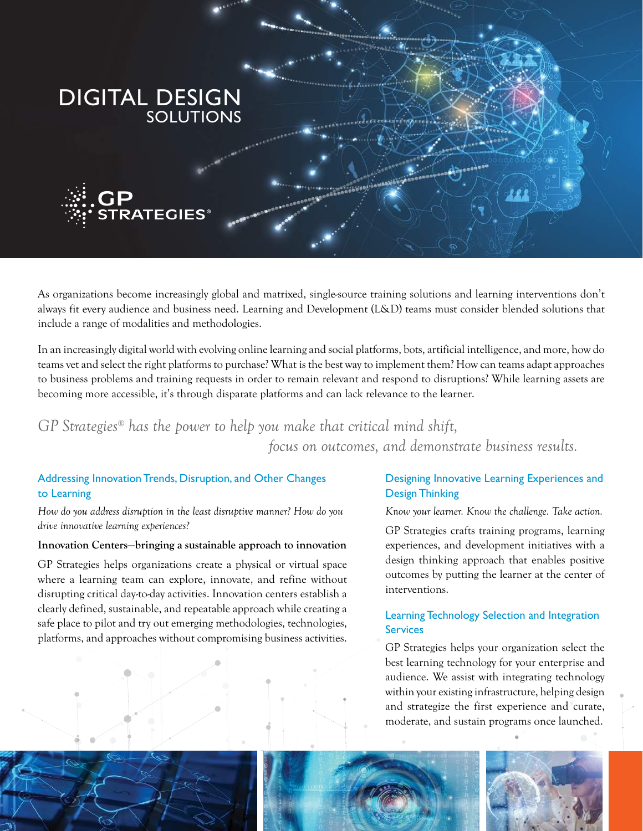

As organizations become increasingly global and matrixed, single-source training solutions and learning interventions don't always fit every audience and business need. Learning and Development (L&D) teams must consider blended solutions that include a range of modalities and methodologies.

In an increasingly digital world with evolving online learning and social platforms, bots, artificial intelligence, and more, how do teams vet and select the right platforms to purchase? What is the best way to implement them? How can teams adapt approaches to business problems and training requests in order to remain relevant and respond to disruptions? While learning assets are becoming more accessible, it's through disparate platforms and can lack relevance to the learner.

# *GP Strategies® has the power to help you make that critical mind shift, focus on outcomes, and demonstrate business results.*

#### Addressing Innovation Trends, Disruption, and Other Changes to Learning

*How do you address disruption in the least disruptive manner? How do you drive innovative learning experiences?*

#### **Innovation Centers—bringing a sustainable approach to innovation**

GP Strategies helps organizations create a physical or virtual space where a learning team can explore, innovate, and refine without disrupting critical day-to-day activities. Innovation centers establish a clearly defined, sustainable, and repeatable approach while creating a safe place to pilot and try out emerging methodologies, technologies, platforms, and approaches without compromising business activities.

#### Designing Innovative Learning Experiences and Design Thinking

*Know your learner. Know the challenge. Take action.*

GP Strategies crafts training programs, learning experiences, and development initiatives with a design thinking approach that enables positive outcomes by putting the learner at the center of interventions.

#### Learning Technology Selection and Integration **Services**

GP Strategies helps your organization select the best learning technology for your enterprise and audience. We assist with integrating technology within your existing infrastructure, helping design and strategize the first experience and curate, moderate, and sustain programs once launched.